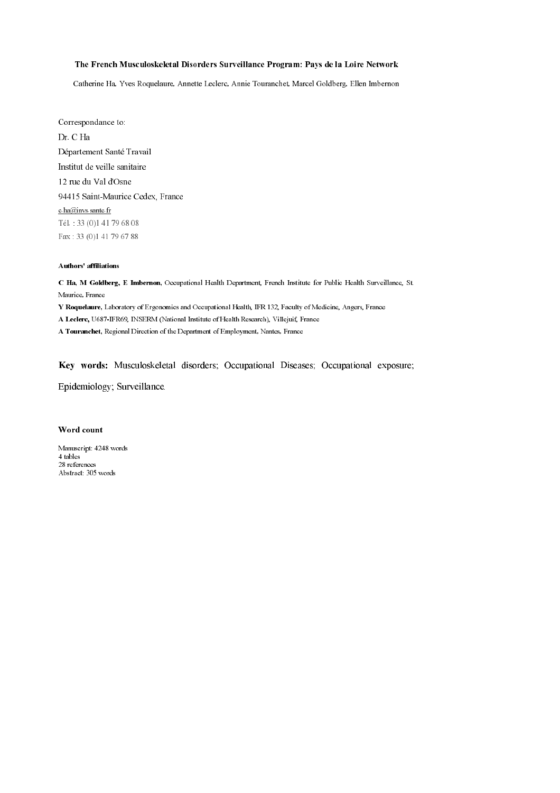### The French Musculoskeletal Disorders Surveillance Program: Pays de la Loire Network

Catherine Ha, Yves Roquelaure, Annette Leclerc, Annie Touranchet, Marcel Goldberg, Ellen Imbernon

Correspondance to: Dr. C Ha Département Santé Travail Institut de veille sanitaire 12 rue du Val d'Osne 94415 Saint-Maurice Cedex, France c.ha@invs.sante.fr Tél.: 33 (0)1 41 79 68 08 Fax: 33 (0)1 41 79 67 88

### Authors' affiliations

C Ha, M Goldberg, E Imbernon, Occupational Health Department, French Institute for Public Health Surveillance, St. Maurice, France Y Roquelaure, Laboratory of Ergonomics and Occupational Health, IFR 132, Faculty of Medicine, Angers, France A Leclerc, U687-IFR69, INSERM (National Institute of Health Research), Villejuif, France

A Touranchet, Regional Direction of the Department of Employment, Nantes, France

Key words: Musculoskeletal disorders; Occupational Diseases; Occupational exposure;

Epidemiology; Surveillance.

### Word count

Manuscript: 4248 words 4 tables 28 references Abstract: 305 words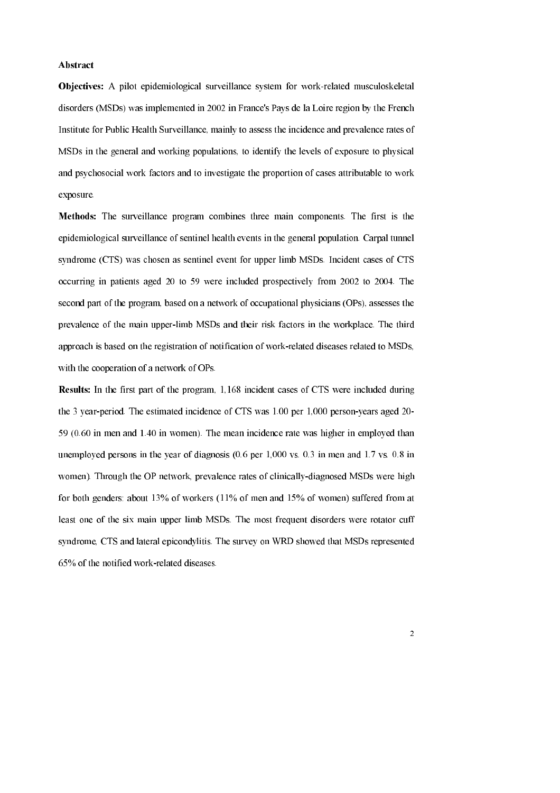#### Abstract

**Objectives:** A pilot epidemiological surveillance system for work-related musculoskeletal disorders (MSDs) was implemented in 2002 in France's Pays de la Loire region by the French Institute for Public Health Surveillance, mainly to assess the incidence and prevalence rates of MSDs in the general and working populations, to identify the levels of exposure to physical and psychosocial work factors and to investigate the proportion of cases attributable to work exposure.

Methods: The surveillance program combines three main components. The first is the epidemiological surveillance of sentinel health events in the general population. Carpal tunnel syndrome (CTS) was chosen as sentinel event for upper limb MSDs. Incident cases of CTS occurring in patients aged 20 to 59 were included prospectively from 2002 to 2004. The second part of the program, based on a network of occupational physicians (OPs), assesses the prevalence of the main upper-limb MSDs and their risk factors in the workplace. The third approach is based on the registration of notification of work-related diseases related to MSDs. with the cooperation of a network of OPs.

**Results:** In the first part of the program, 1,168 incident cases of CTS were included during the 3 year-period. The estimated incidence of CTS was 1.00 per 1,000 person-years aged 20-59 (0.60 in men and 1.40 in women). The mean incidence rate was higher in employed than unemployed persons in the year of diagnosis  $(0.6 \text{ per } 1,000 \text{ vs. } 0.3 \text{ in men and } 1.7 \text{ vs. } 0.8 \text{ in}$ women). Through the OP network, prevalence rates of clinically-diagnosed MSDs were high for both genders: about 13% of workers  $(11\%$  of men and 15% of women) suffered from at least one of the six main upper limb MSDs. The most frequent disorders were rotator cuff syndrome, CTS and lateral epicondylitis. The survey on WRD showed that MSDs represented 65% of the notified work-related diseases.

 $\overline{2}$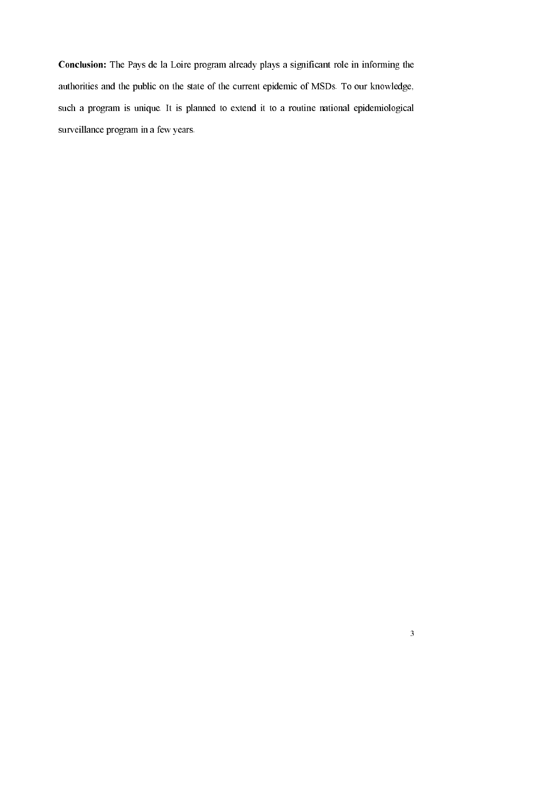Conclusion: The Pays de la Loire program already plays a significant role in informing the authorities and the public on the state of the current epidemic of MSDs. To our knowledge, such a program is unique. It is planned to extend it to a routine national epidemiological surveillance program in a few years.

 $\overline{\mathbf{3}}$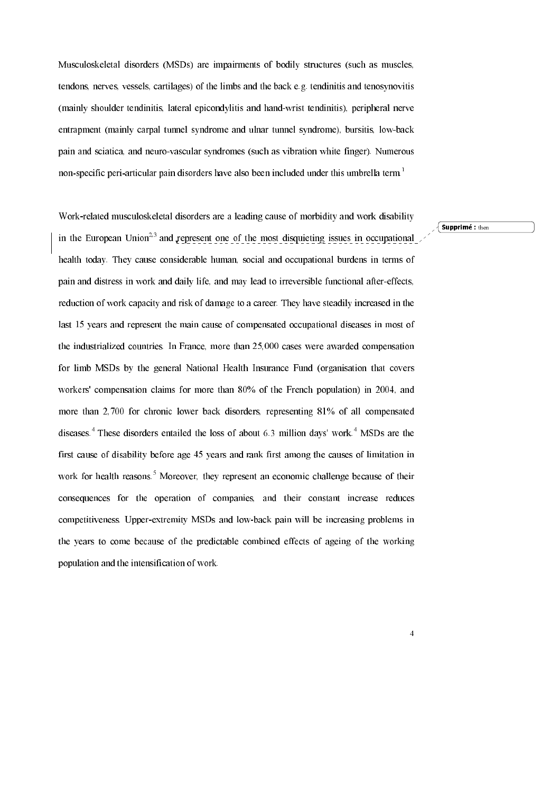Musculoskeletal disorders (MSDs) are impairments of bodily structures (such as muscles, tendons, nerves, vessels, cartilages) of the limbs and the back e.g. tendinitis and tenosynovitis (mainly shoulder tendinitis, lateral epicondylitis and hand-wrist tendinitis), peripheral nerve entrapment (mainly carpal tunnel syndrome and ulnar tunnel syndrome), bursitis, low-back pain and sciatica, and neuro-vascular syndromes (such as vibration white finger). Numerous non-specific peri-articular pain disorders have also been included under this umbrella term.<sup>1</sup>

Work-related musculoskeletal disorders are a leading cause of morbidity and work disability in the European Union<sup>2,3</sup> and represent one of the most disquieting issues in occupational health today. They cause considerable human, social and occupational burdens in terms of pain and distress in work and daily life, and may lead to irreversible functional after-effects, reduction of work capacity and risk of damage to a career. They have steadily increased in the last 15 years and represent the main cause of compensated occupational diseases in most of the industrialized countries. In France, more than 25,000 cases were awarded compensation for limb MSDs by the general National Health Insurance Fund (organisation that covers workers' compensation claims for more than 80% of the French population) in 2004, and more than 2,700 for chronic lower back disorders, representing 81% of all compensated diseases.<sup>4</sup> These disorders entailed the loss of about 6.3 million days' work.<sup>4</sup> MSDs are the first cause of disability before age 45 years and rank first among the causes of limitation in work for health reasons.<sup>5</sup> Moreover, they represent an economic challenge because of their consequences for the operation of companies, and their constant increase reduces competitiveness. Upper-extremity MSDs and low-back pain will be increasing problems in the years to come because of the predictable combined effects of ageing of the working population and the intensification of work.

 $\big\{$  Supprimé : then

 $\overline{4}$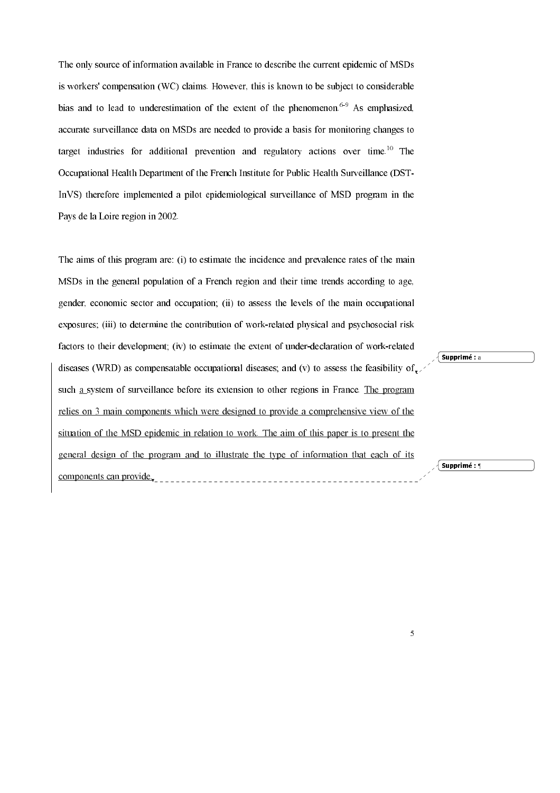The only source of information available in France to describe the current epidemic of MSDs is workers' compensation (WC) claims. However, this is known to be subject to considerable bias and to lead to underestimation of the extent of the phenomenon.<sup>6-9</sup> As emphasized, accurate surveillance data on MSDs are needed to provide a basis for monitoring changes to target industries for additional prevention and regulatory actions over time.<sup>10</sup> The Occupational Health Department of the French Institute for Public Health Surveillance (DST-InVS) therefore implemented a pilot epidemiological surveillance of MSD program in the Pays de la Loire region in 2002.

The aims of this program are: (i) to estimate the incidence and prevalence rates of the main MSDs in the general population of a French region and their time trends according to age, gender, economic sector and occupation; (ii) to assess the levels of the main occupational exposures; (iii) to determine the contribution of work-related physical and psychosocial risk factors to their development: (iv) to estimate the extent of under-declaration of work-related diseases (WRD) as compensatable occupational diseases; and (v) to assess the feasibility of  $\sim$ such a system of surveillance before its extension to other regions in France. The program relies on 3 main components which were designed to provide a comprehensive view of the situation of the MSD epidemic in relation to work. The aim of this paper is to present the general design of the program and to illustrate the type of information that each of its components can provide

 $\sqrt{\mathsf{Supprim\acute{e}}}$  : a

√ Supprimé : ¶

 $\overline{5}$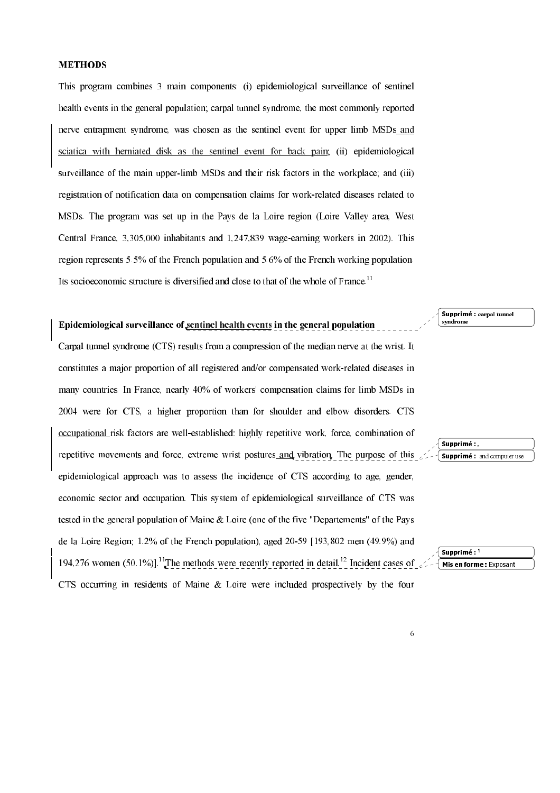### **METHODS**

This program combines 3 main components: (i) epidemiological surveillance of sentinel health events in the general population; carpal tunnel syndrome, the most commonly reported nerve entrapment syndrome, was chosen as the sentinel event for upper limb MSDs and sciatica with herniated disk as the sentinel event for back pain; (ii) epidemiological surveillance of the main upper-limb MSDs and their risk factors in the workplace: and (iii) registration of notification data on compensation claims for work-related diseases related to MSDs. The program was set up in the Pays de la Loire region (Loire Valley area, West Central France, 3,305,000 inhabitants and 1,247,839 wage-earning workers in 2002). This region represents 5.5% of the French population and 5.6% of the French working population. Its socioeconomic structure is diversified and close to that of the whole of France.<sup>11</sup>

# Epidemiological surveillance of sentinel health events in the general population

Carpal tunnel syndrome (CTS) results from a compression of the median nerve at the wrist. It constitutes a major proportion of all registered and/or compensated work-related diseases in many countries. In France, nearly 40% of workers' compensation claims for limb MSDs in 2004 were for CTS, a higher proportion than for shoulder and elbow disorders. CTS occupational risk factors are well-established: highly repetitive work, force, combination of repetitive movements and force, extreme wrist postures and vibration. The purpose of this epidemiological approach was to assess the incidence of CTS according to age, gender, economic sector and occupation. This system of epidemiological surveillance of CTS was tested in the general population of Maine & Loire (one of the five "Departements" of the Pays de la Loire Region; 1.2% of the French population), aged 20-59 [193,802 men (49.9%) and 194.276 women (50.1%)].<sup>11</sup>The methods were recently reported in detail.<sup>12</sup> Incident cases of CTS occurring in residents of Maine & Loire were included prospectively by the four





Supprimé : and computer use

Supprimé:

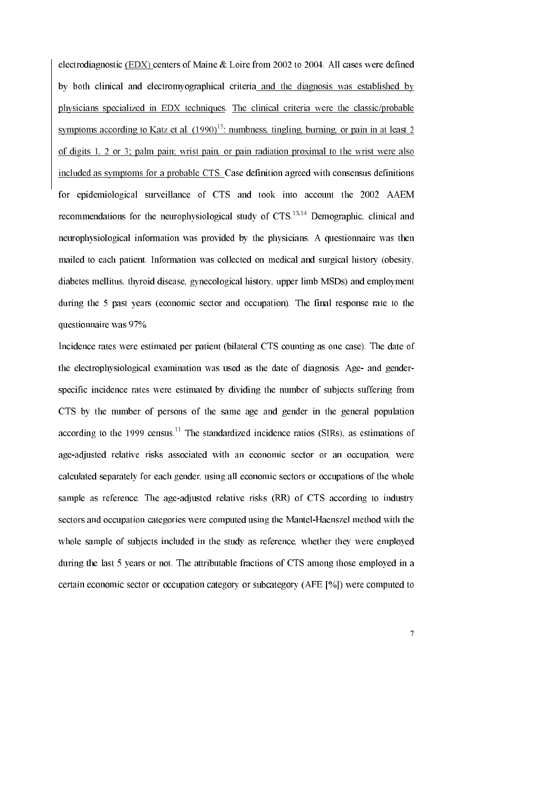electrodiagnostic (EDX) centers of Maine & Loire from 2002 to 2004. All cases were defined by both clinical and electromyographical criteria and the diagnosis was established by physicians specialized in EDX techniques. The clinical criteria were the classic/probable symptoms according to Katz et al.  $(1990)^{15}$ ; numbress, tingling, burning, or pain in at least 2 of digits 1, 2 or 3; palm pain; wrist pain, or pain radiation proximal to the wrist were also included as symptoms for a probable CTS. Case definition agreed with consensus definitions for epidemiological surveillance of CTS and took into account the 2002 AAEM recommendations for the neurophysiological study of CTS.<sup>13,14</sup> Demographic, clinical and neurophysiological information was provided by the physicians. A questionnaire was then mailed to each patient. Information was collected on medical and surgical history (obesity, diabetes mellitus, thyroid disease, gynecological history, upper limb MSDs) and employment during the 5 past years (economic sector and occupation). The final response rate to the questionnaire was 97%.

Incidence rates were estimated per patient (bilateral CTS counting as one case). The date of the electrophysiological examination was used as the date of diagnosis. Age- and genderspecific incidence rates were estimated by dividing the number of subjects suffering from CTS by the number of persons of the same age and gender in the general population according to the 1999 census.<sup>11</sup> The standardized incidence ratios (SIRs), as estimations of age-adjusted relative risks associated with an economic sector or an occupation, were calculated separately for each gender, using all economic sectors or occupations of the whole sample as reference. The age-adjusted relative risks (RR) of CTS according to industry sectors and occupation categories were computed using the Mantel-Haenszel method with the whole sample of subjects included in the study as reference, whether they were employed during the last 5 years or not. The attributable fractions of CTS among those employed in a certain economic sector or occupation category or subcategory (AFE [%]) were computed to

 $\overline{7}$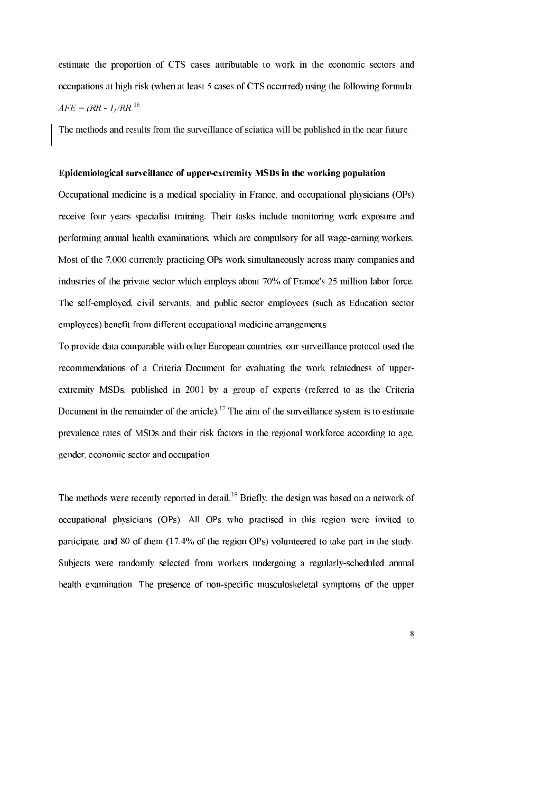estimate the proportion of CTS cases attributable to work in the economic sectors and occupations at high risk (when at least 5 cases of CTS occurred) using the following formula:  $AFE = (RR - 1)/RR^{16}$ 

The methods and results from the surveillance of sciatica will be published in the near future.

### Epidemiological surveillance of upper-extremity MSDs in the working population

Occupational medicine is a medical speciality in France, and occupational physicians (OPs) receive four years specialist training. Their tasks include monitoring work exposure and performing annual health examinations, which are compulsory for all wage-earning workers. Most of the 7,000 currently practicing OPs work simultaneously across many companies and industries of the private sector which employs about 70% of France's 25 million labor force. The self-employed, civil servants, and public sector employees (such as Education sector employees) benefit from different occupational medicine arrangements.

To provide data comparable with other European countries, our surveillance protocol used the recommendations of a Criteria Document for evaluating the work relatedness of upperextremity MSDs, published in 2001 by a group of experts (referred to as the Criteria Document in the remainder of the article).<sup>17</sup> The aim of the surveillance system is to estimate prevalence rates of MSDs and their risk factors in the regional workforce according to age, gender, economic sector and occupation.

The methods were recently reported in detail.<sup>18</sup> Briefly, the design was based on a network of occupational physicians (OPs). All OPs who practised in this region were invited to participate, and 80 of them (17.4% of the region OPs) volunteered to take part in the study. Subjects were randomly selected from workers undergoing a regularly-scheduled annual health examination. The presence of non-specific musculoskeletal symptoms of the upper

 $\overline{\mathbf{8}}$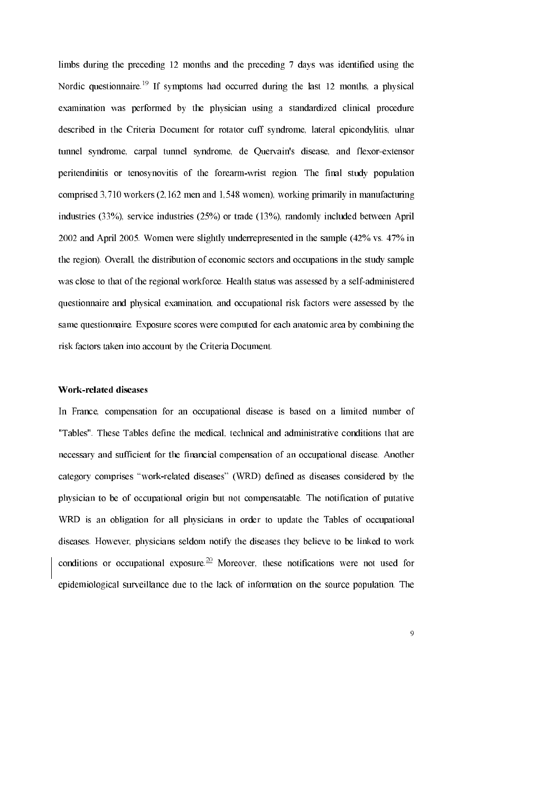limbs during the preceding 12 months and the preceding 7 days was identified using the Nordic questionnaire.<sup>19</sup> If symptoms had occurred during the last 12 months, a physical examination was performed by the physician using a standardized clinical procedure described in the Criteria Document for rotator cuff syndrome, lateral epicondylitis, ulnar tunnel syndrome, carpal tunnel syndrome, de Quervain's disease, and flexor-extensor peritendinitis or tenosynovitis of the forearm-wrist region. The final study population comprised 3,710 workers (2,162 men and 1,548 women), working primarily in manufacturing industries  $(33\%)$ , service industries  $(25\%)$  or trade  $(13\%)$ , randomly included between April 2002 and April 2005. Women were slightly underrepresented in the sample (42% vs. 47% in the region). Overall, the distribution of economic sectors and occupations in the study sample was close to that of the regional workforce. Health status was assessed by a self-administered questionnaire and physical examination, and occupational risk factors were assessed by the same questionnaire. Exposure scores were computed for each anatomic area by combining the risk factors taken into account by the Criteria Document.

### **Work-related diseases**

In France, compensation for an occupational disease is based on a limited number of "Tables". These Tables define the medical, technical and administrative conditions that are necessary and sufficient for the financial compensation of an occupational disease. Another category comprises "work-related diseases" (WRD) defined as diseases considered by the physician to be of occupational origin but not compensatable. The notification of putative WRD is an obligation for all physicians in order to update the Tables of occupational diseases. However, physicians seldom notify the diseases they believe to be linked to work conditions or occupational exposure. <sup>20</sup> Moreover, these notifications were not used for epidemiological surveillance due to the lack of information on the source population. The

 $\overline{9}$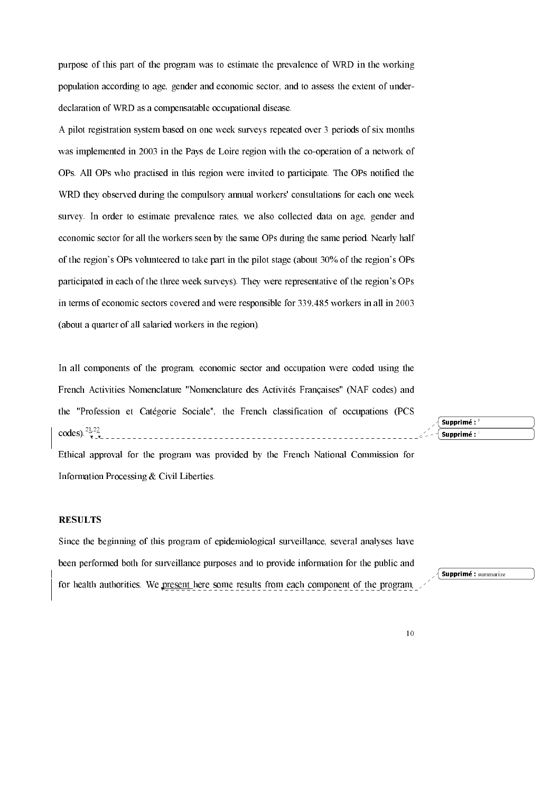purpose of this part of the program was to estimate the prevalence of WRD in the working population according to age, gender and economic sector, and to assess the extent of underdeclaration of WRD as a compensatable occupational disease.

A pilot registration system based on one week surveys repeated over 3 periods of six months was implemented in 2003 in the Pays de Loire region with the co-operation of a network of OPs. All OPs who practised in this region were invited to participate. The OPs notified the WRD they observed during the compulsory annual workers' consultations for each one week survey. In order to estimate prevalence rates, we also collected data on age, gender and economic sector for all the workers seen by the same OPs during the same period. Nearly half of the region's OPs volunteered to take part in the pilot stage (about 30% of the region's OPs participated in each of the three week surveys). They were representative of the region's OPs in terms of economic sectors covered and were responsible for 339,485 workers in all in 2003 (about a quarter of all salaried workers in the region).

In all components of the program, economic sector and occupation were coded using the French Activities Nomenclature "Nomenclature des Activités Françaises" (NAF codes) and the "Profession et Catégorie Sociale", the French classification of occupations (PCS codes).<sup>21,22</sup>

Ethical approval for the program was provided by the French National Commission for Information Processing & Civil Liberties.

# **RESULTS**

Since the beginning of this program of epidemiological surveillance, several analyses have been performed both for surveillance purposes and to provide information for the public and for health authorities. We present here some results from each component of the program,

 $\frac{1}{2}$  Supprimé : summarize

Supprimé :

Supprimé: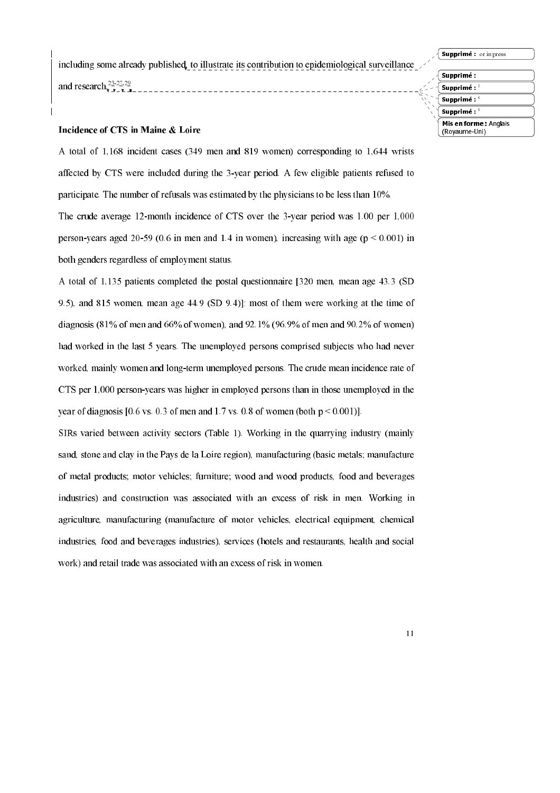Supprimé : or in press

Supprimé : Supprimé :

(Rovaume-Uni)

including some already published, to illustrate its contribution to epidemiological surveillance and research  $\frac{23}{7}$   $\frac{27.29}{7}$ 

Supprimé : Supprimé :

Mis en forme: Anglais

# Incidence of CTS in Maine & Loire

A total of 1,168 incident cases (349 men and 819 women) corresponding to 1,644 wrists affected by CTS were included during the 3-year period. A few eligible patients refused to participate. The number of refusals was estimated by the physicians to be less than  $10\%$ . The crude average 12-month incidence of CTS over the 3-year period was 1.00 per 1,000 person-years aged 20-59 (0.6 in men and 1.4 in women), increasing with age ( $p < 0.001$ ) in both genders regardless of employment status.

A total of 1,135 patients completed the postal questionnaire [320 men, mean age 43.3 (SD 9.5), and 815 women, mean age 44.9 (SD 9.4)]: most of them were working at the time of diagnosis  $(81\% \text{ of men and } 66\% \text{ of women})$ , and  $92.1\%$  (96.9% of men and 90.2% of women) had worked in the last 5 years. The unemployed persons comprised subjects who had never worked, mainly women and long-term unemployed persons. The crude mean incidence rate of CTS per 1,000 person-years was higher in employed persons than in those unemployed in the year of diagnosis [0.6 vs. 0.3 of men and 1.7 vs. 0.8 of women (both  $p \le 0.001$ )].

SIRs varied between activity sectors (Table 1). Working in the quarrying industry (mainly sand, stone and clay in the Pays de la Loire region), manufacturing (basic metals; manufacture of metal products; motor vehicles; furniture; wood and wood products, food and beverages industries) and construction was associated with an excess of risk in men. Working in agriculture, manufacturing (manufacture of motor vehicles, electrical equipment, chemical industries, food and beverages industries), services (hotels and restaurants, health and social work) and retail trade was associated with an excess of risk in women.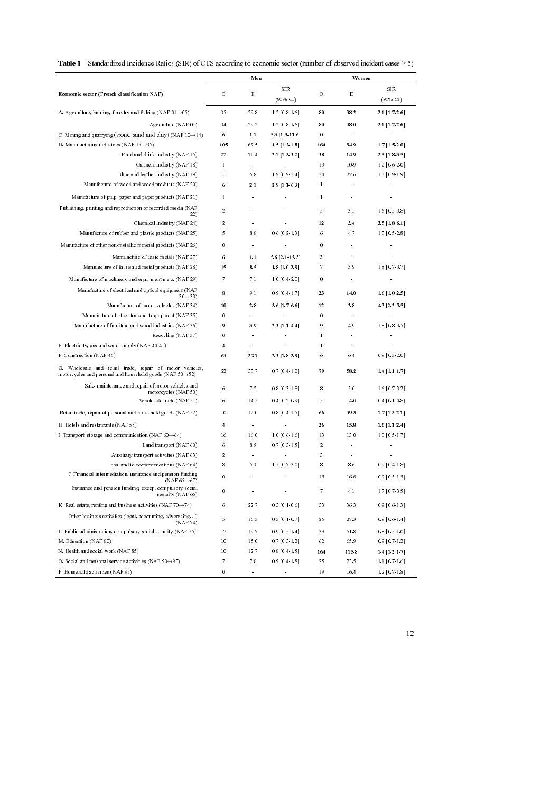|  | <b>Table 1</b> Standardized Incidence Ratios (SIR) of CTS according to economic sector (number of observed incident cases $>$ 5) |  |  |  |  |
|--|----------------------------------------------------------------------------------------------------------------------------------|--|--|--|--|
|--|----------------------------------------------------------------------------------------------------------------------------------|--|--|--|--|

|                                                                                                                                  |                | Men            |                        |              | Women               |                        |
|----------------------------------------------------------------------------------------------------------------------------------|----------------|----------------|------------------------|--------------|---------------------|------------------------|
| Economic sector (French classification NAF)                                                                                      | O              | Ε              | <b>SIR</b><br>(95% CI) | $\circ$      | Ε                   | <b>SIR</b><br>(95% CI) |
| A. Agriculture, hunting, forestry and fishing (NAF $01 \rightarrow 05$ )                                                         | 35             | 29.8           | $1.2$ [0.8-1.6]        | 80           | 38.2                | 2.1 [1.7.2.6]          |
| Agriculture (NAF 01)                                                                                                             | 34             | 29.2           | $1.2$ [0.8-1.6]        | 80           | 38.0                | 2.1 [1.72.6]           |
| C. Mining and quarrying (stone, sand and clay) (NAF $10 \rightarrow 14$ )                                                        | 6              | $1.1$          | 53 [19-116]            | 0            | $\alpha$            | $\bar{\phantom{a}}$    |
| D. Manufacturing industries (NAF 15 $\rightarrow$ 37)                                                                            | 105            | 69.5           | 15 [1.2 1.8]           | 164          | 949                 | 17[1520]               |
| Food and drink in dustry (NAF 15)                                                                                                | 22             | 10.4           | 2.1 [1.3-3.2]          | 38           | 14.9                | $2.5$ [1.8-3.5]        |
| Garment in dustry (NAF 18)                                                                                                       | $\mathbf{I}$   | $\bullet$      |                        | 13           | 10.9                | $1.2$ [ 0.6 2.0]       |
| Shoe and leather in dustry (NAF 19)                                                                                              | $\mathbf{1}$   | 5.8            | $1.9$ [0.9-3.4]        | 30           | 22.6                | $1.3$ [0.9-1.9]        |
| Manufacture of wood and wood products (NAF 20)                                                                                   | 6              | 2.1            | $2.9$ [1.1-6.3]        | $\mathbf{I}$ |                     |                        |
| Manufacture of pulp, paper and paper products (NAF 21)                                                                           | $\mathbf{I}$   | $\bullet$      | $\bullet$              | $\mathbf{I}$ | $\bullet$           | $\blacksquare$         |
| Publishing, printing and reproduction of recorded media (NAF<br>22)                                                              | 2              | ×              | $\bullet$              | 5            | 3.1                 | $1.6$ [0.5 3.8]        |
| Chemical industry (NAF 24)                                                                                                       | 2              | $\bullet$      |                        | 12           | 3.4                 | $3.5[1.8-6.1]$         |
| Manufacture of rubber and plastic products (NAF 25)                                                                              | 5              | 8.8            | $0.6$ [0.2-1.3]        | 6            | 4.7                 | 1.3 [0.5 2.8]          |
| Manufacture of other non metallic mineral products (NAF 26)                                                                      | 0              | $\blacksquare$ | $\ddot{\phantom{a}}$   | 0            | ÷.                  | ä.                     |
| Manufacture of basic metals (NAF 27)                                                                                             | 6              | $1.1$          | 5.6 [2.1-12.3]         | 3            | $\hat{\mathbf{r}}$  |                        |
| Manufacture of fabricated metal products (NAF 28)                                                                                | 15             | 8.5            | 18 [1029]              | 7            | 3.9                 | $1.8$ [0.7-3.7]        |
| Manufacture of machinery and equipment n e.c. (NAF 29)                                                                           | 7              | 7.1            | $1.0$ [0.4 2.0]        | 0            |                     |                        |
| Manufacture of electrical and optical equipment (NAF<br>$30 \rightarrow 33$                                                      | 8              | 9.1            | $0.9$ [0.4-1.7]        | 23           | 14.0                | 16[102.5]              |
| Manufacture of motor vehicles (NAF 34)                                                                                           | 10             | 2.8            | 36 [1766]              | 12           | 2.8                 | 43 [2.2.7.5]           |
| Manufacture of other transport equipment (NAF 35)                                                                                | 0              | $\bullet$      | $\hat{\mathbf{r}}$     | 0            | $\alpha$            | ä,                     |
| Manufacture of furniture and wood industries (NAF 36)                                                                            | 9              | 3.9            | $2.3$ [1.1-4.4]        | 9            | 4.9                 | $1.8$ [0.8 3.5]        |
| Recycling (NAF37)                                                                                                                | 0              | $\bullet$      |                        | $\mathbf{I}$ | $\bullet$           |                        |
| E. Electricity, gas and water supply (NAF 40-41)                                                                                 | 4              | $\bullet$      |                        | $\mathbf{I}$ | $\bar{\phantom{a}}$ |                        |
| F. Construction (NAF 45)                                                                                                         | 63             | 277            | 23 [1829]              | 6            | 6.4                 | $0.9$ [0.3-2.0]        |
| Wholesale and retail trade, repair of motor vehicles,<br>motorcycles and personal and household goods (NAF $50 \rightarrow 52$ ) | 22             | 33.7           | $0.7$ [0.4-1.0]        | 79           | 58.2                | $1.4$ [1.1-1.7]        |
| Sale, maintenance and repair of motor vehicles and<br>motorcycles (NAF 50)                                                       | 6              | 7.2            | $0.8$ [0.3 1.8]        | 8            | 5.0                 | $1.6$ [0.7-3.2]        |
| Wholesale trade (NAF 51)                                                                                                         | 6              | 14.5           | $0.4$ [0.2 0.9]        | 5            | 14.0                | $0.4$ [0.1-0.8]        |
| Retail trade; repair of personal and household goods (NAF 52)                                                                    | 10             | 12.0           | $0.8$ [0.4 1.5]        | 66           | 393                 | 17[1321]               |
| H. Hotels and restaurants (NAF 55)                                                                                               | $\overline{4}$ | $\bullet$      |                        | 26           | 15.8                | $1.6$ [1.1-2.4]        |
| I. Transport, storage and communication (NAF $60 \rightarrow 64$ )                                                               | 16             | 16.0           | $1.0$ [0.6 1.6]        | 13           | 13.0                | 1.0 [0.5 1.7]          |
| Landtransport (NAF 60)                                                                                                           | 6              | 8.5            | $0.7$ [0.3-1.5]        | 2            | $\blacksquare$      | ä,                     |
| Auxiliary transport activities (NAF 63)                                                                                          | 2              | $\bullet$      |                        | 3            | $\bullet$           |                        |
| Post and telecommunications (NAF 64)                                                                                             | 8              | 5.3            | $1.5$ [0.7-3.0]        | 8            | 8.6                 | 0.9 [0.41.8]           |
| J. Financial intermediation, insurance and pension funding<br>(NAF $65 \rightarrow 67$ )                                         | 0              | $\bullet$      |                        | 15           | 16.6                | $0.9$ [ 0.5 - 1.5 ]    |
| Insurance and pension funding, except compulsory social<br>security (NAF 66)                                                     | 0              |                |                        | 7            | 4.1                 | $1.7$ [0.7-3.5]        |
| K. Real estate, renting and business activities (NAF $70 \rightarrow 74$ )                                                       | 6              | 22.7           | $0.3$ [0.1-0.6]        | 33           | 36.3                | 0.9[0.61.3]            |
| Other business activities (legal accounting, advertising)<br>(NAF 74)                                                            | 5              | 16.3           | $0.3$ [0.1-0.7]        | 25           | 27.3                | $0.9$ [0.6 1.4]        |
| L. Public administration, compulsory social security (NAF 75)                                                                    | 17             | 19.7           | $0.9$ [0.5-1.4]        | 39           | 51.8                | $0.8$ [ 0.5 - 1.0]     |
| M. Education (NAF 80)                                                                                                            | 10             | 15.0           | $0.7$ [0.3-1.2]        | 62           | 65.9                | 0.9 [0.7 1.2]          |
| N. Health and social work (NAF 85)                                                                                               | 10             | 12.7           | $0.8$ [0.4 1.5]        | 164          | 115.8               | $1.4$ [1.2-1.7]        |
| O. Social and personal service activities (NAF $90 \rightarrow 93$ )                                                             | 7              | 7.8            | $0.9$ [0.4 1.8]        | 25           | 23.5                | $1.1$ [0.7 1.6]        |
| P. Household activities (NAF 95)                                                                                                 | 0              | $\bullet$      | $\bullet$              | 19           | 16.4                | $1.2$ [0.7-1.8]        |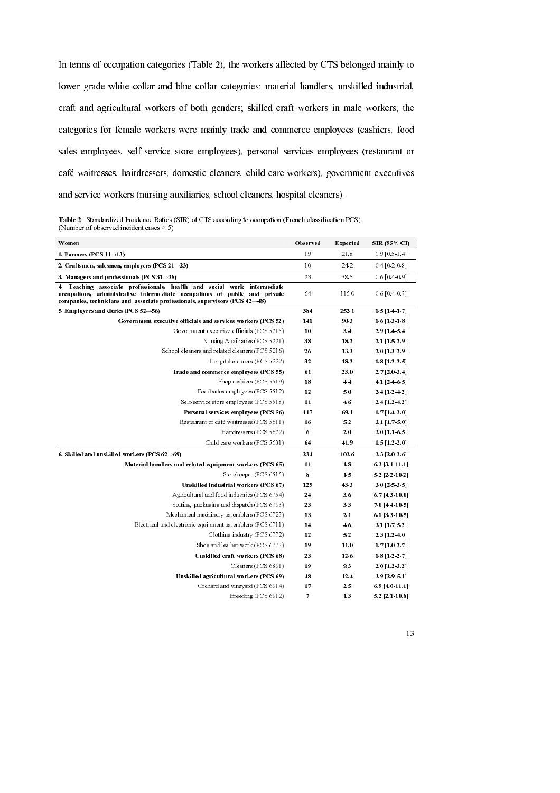In terms of occupation categories (Table 2), the workers affected by CTS belonged mainly to lower grade white collar and blue collar categories: material handlers, unskilled industrial, craft and agricultural workers of both genders; skilled craft workers in male workers; the categories for female workers were mainly trade and commerce employees (cashiers, food sales employees, self-service store employees), personal services employees (restaurant or café waitresses, hairdressers, domestic cleaners, child care workers), government executives and service workers (nursing auxiliaries, school cleaners, hospital cleaners).

Table 2 Standardized Incidence Ratios (SIR) of CTS according to occupation (French classification PCS) (Number of observed incident cases  $\geq 5$ )

| Women                                                                                                                                                                                                                                                 | Observed | <b>Expected</b> | SIR (95% CI)         |
|-------------------------------------------------------------------------------------------------------------------------------------------------------------------------------------------------------------------------------------------------------|----------|-----------------|----------------------|
| 1. Farmers (PCS $11 \rightarrow 13$ )                                                                                                                                                                                                                 | 19       | 21.8            | $0.9$ [ 0.5 - 1.4]   |
| 2. Craftsmen, salesmen, employers (PCS $21 \rightarrow 23$ )                                                                                                                                                                                          | 10       | 24.2            | $0.4$ [ 0.2 - 0.8]   |
| 3. Managers and professionals (PCS $31\rightarrow38$ )                                                                                                                                                                                                | 23       | 38.5            | $0.6$ [ 0.4 $-0.9$ ] |
| Teaching associate professionals, health and social work intermediate<br>4.<br>occupations, administrative intermediate occupations of public and private<br>companies, technicians and associate professionals, supervisors (PCS $42\rightarrow48$ ) | 64       | 115.0           | $0.6$ [ 0.4 $-0.7$ ] |
| 5. Employees and clerks (PCS 52 $\rightarrow$ 56)                                                                                                                                                                                                     | 384      | 252.1           | 1.5 [1.4 1.7]        |
| Government executive officials and services workers (PCS 52)                                                                                                                                                                                          | 141      | 90.3            | 1.6 [1.3 1.8]        |
| Government executive officials (PCS 5215)                                                                                                                                                                                                             | 10       | 3.4             | 2.9 [1.4 5.4]        |
| Nursing Auxiliaries (PCS 5221)                                                                                                                                                                                                                        | 38       | 18.2            | 2.1 [1.5 2.9]        |
| School cleaners and related cleaners (PCS 5216)                                                                                                                                                                                                       | 26       | 13.3            | 2.0 [1.3 2.9]        |
| Hospital cleaners (PCS 5222)                                                                                                                                                                                                                          | 32       | 18.2            | 1.8 [1.2 2.5]        |
| Trade and commerce employees (PCS 55)                                                                                                                                                                                                                 | 61       | 23.0            | 2.7 [2.0 3.4]        |
| Shop cashiers (PCS 5519)                                                                                                                                                                                                                              | 18       | 4.4             | 4.1 [2.4 6.5]        |
| Food sales employees (PCS 5512)                                                                                                                                                                                                                       | 12       | 5.0             | 2.4 [1.2 4.2]        |
| Self service store employees (PCS 5518)                                                                                                                                                                                                               | 11       | 4.6             | 2.4 [1.2 4.2]        |
| Personal services employees (PCS 56)                                                                                                                                                                                                                  | 117      | 69.1            | $1.7$ [1.4 2.0]      |
| Restaurant or café waitresses (PCS 5611)                                                                                                                                                                                                              | 16       | 5.2             | 3.1 [1.7 5.0]        |
| Hairdressers (PCS 5622)                                                                                                                                                                                                                               | 6        | 2.0             | $3.0$ [1.1 6.5]      |
| Child care workers (PCS 5631)                                                                                                                                                                                                                         | 64       | 41.9            | $1.5$ [1.2 $2.0$ ]   |
| 6. Skilled and unskilled workers (PCS $62\rightarrow69$ )                                                                                                                                                                                             | 234      | 102.6           | 2.3 [2.0 2.6]        |
| Material handlers and related equipment workers (PCS 65)                                                                                                                                                                                              | 11       | 1.8             | 6.2 [3.1 11.1]       |
| Storekeeper (PCS 6515)                                                                                                                                                                                                                                | 8        | 1.5             | 5.2 [2.2 10.2]       |
| Unskilled industrial workers (PCS 67)                                                                                                                                                                                                                 | 129      | 43.3            | 3.0 [2.5 3.5]        |
| Agricultural and food industries (PCS 6754)                                                                                                                                                                                                           | 24       | 3.6             | 6.7 [4.3 10.0]       |
| Sorting packaging and dispatch (PCS 6793)                                                                                                                                                                                                             | 23       | 3.3             | 7.0 [4.4 10.5]       |
| Mechanical machinery assemblers (PCS 6723)                                                                                                                                                                                                            | 13       | 2.1             | 6.1 [3.3 10.5]       |
| Electrical and electronic equipment assemblers (PCS 6711)                                                                                                                                                                                             | 14       | 4.6             | 3.1 [1.7 5.2]        |
| Clothing industry (PCS 6772)                                                                                                                                                                                                                          | 12       | 5.2             | 2.3 [1.2 4.0]        |
| Shoe and leather work (PCS 6773)                                                                                                                                                                                                                      | 19       | 11.0            | $1.7$ [1.0 2.7]      |
| Unskilled craft workers (PCS 68)                                                                                                                                                                                                                      | 23       | 12.6            | 1.8 [1.2.2.7]        |
| Cleaners (PCS 6891)                                                                                                                                                                                                                                   | 19       | 9.3             | 2.0 [1.2.3.2]        |
| Unskilled agricultural workers (PCS 69)                                                                                                                                                                                                               | 48       | 12.4            | 3.9 [2.9 5.1]        |
| Orchard and vineyard (PCS 6914)                                                                                                                                                                                                                       | 17       | 2.5             | 6.9 [4.0 11.1]       |
| Breeding (PCS 6912)                                                                                                                                                                                                                                   | 7        | 1.3             | 5.2 [2.1 10.8]       |

<sup>13</sup>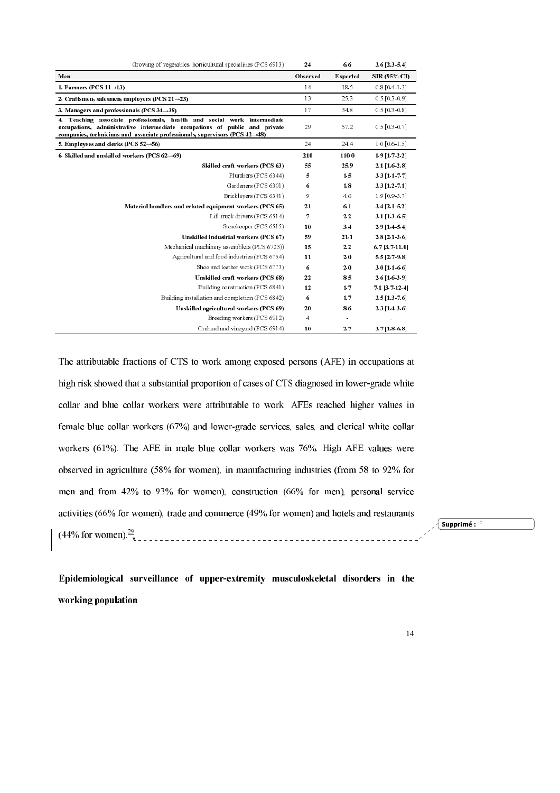| Growing of vegetables, horticultural specialities (PCS 6913)                                                                                                                                                                                       | 24       | 6.6      | 3.6 [2.3 5.4]      |
|----------------------------------------------------------------------------------------------------------------------------------------------------------------------------------------------------------------------------------------------------|----------|----------|--------------------|
| Men                                                                                                                                                                                                                                                | Observed | Expected | SIR (95% CI)       |
| 1. Farmers (PCS $11\rightarrow13$ )                                                                                                                                                                                                                | 14       | 18.5     | $0.8$ [0.4 1.3]    |
| 2. Craftsmen, salesmen, employers (PCS $21\rightarrow23$ )                                                                                                                                                                                         | 13       | 25.3     | $0.5$ [0.3-0.9]    |
| 3. Managers and professionals (PCS $31\rightarrow38$ )                                                                                                                                                                                             | 17       | 34.8     | $0.5$ [0.3 0.8]    |
| 4. Teaching associate professionals, health and social work intermediate<br>occupations, administrative intermediate occupations of public and private<br>companies, technicians and associate professionals, supervisors (PCS $42\rightarrow48$ ) | 29       | 57.2     | $0.5$ [0.3-0.7]    |
| 5. Employees and clerks (PCS 52 $\rightarrow$ 56)                                                                                                                                                                                                  | 24       | 24.4     | $1.0$ [ 0.6 1.5]   |
| 6. Skilled and unskilled workers (PCS $62\rightarrow69$ )                                                                                                                                                                                          | 210      | 110.0    | 1.9 [1.7 2.2]      |
| Skilled craft workers (PCS 63)                                                                                                                                                                                                                     | 55       | 25.9     | 2.1 [1.6 2.8]      |
| Plumbers (PCS 6344)                                                                                                                                                                                                                                | 5        | 1.5      | 3.3 [1.1 7.7]      |
| Gardeners (PCS 6301)                                                                                                                                                                                                                               | 6        | 1.8      | 3.3 [1.2 7.1]      |
| Bricklayers (PCS 6341)                                                                                                                                                                                                                             | 9        | 4.6      | $1.9$ [0.9 3.7]    |
| Material handlers and related equipment workers (PCS 65)                                                                                                                                                                                           | 21       | 6.1      | 3.4 [2.1 5.2]      |
| Lift truck drivers (PCS 6514)                                                                                                                                                                                                                      | 7        | 2.2      | 3.1 [1.3 6.5]      |
| Storekeeper (PCS 6515)                                                                                                                                                                                                                             | 10       | 3.4      | 2.9 [1.4 5.4]      |
| Unskilled industrial workers (PCS 67)                                                                                                                                                                                                              | 59       | 21.1     | 2.8 [2.1 3.6]      |
| Mechanical machinery assemblers (PCS 6723))                                                                                                                                                                                                        | 15       | $2.2\,$  | 6.7 [3.7 11.0]     |
| Agricultural and food industries (PCS 6754)                                                                                                                                                                                                        | 11       | 2.0      | 5.5 [2.7 9.8]      |
| Shoe and leather work (PCS 6773)                                                                                                                                                                                                                   | 6        | 2.0      | 3.0 [1.1 6.6]      |
| Unskilled craft workers (PCS 68)                                                                                                                                                                                                                   | 22       | 8.5      | 2.6 [1.6.3.9]      |
| Building construction (PCS 6841)                                                                                                                                                                                                                   | 12       | 1.7      | 7.1 [3.7 12.4]     |
| Building installation and completion (PCS 6842)                                                                                                                                                                                                    | 6        | 1.7      | 3.5 [1.3 7.6]      |
| Unskilled agricultural workers (PCS 69)                                                                                                                                                                                                            | 20       | 8.6      | $2.3$ [1.4 $3.6$ ] |
| Breeding workers (PCS 6912)                                                                                                                                                                                                                        | 4        |          |                    |
| Orchard and vineyard (PCS 6914)                                                                                                                                                                                                                    | 10       | 2.7      | $3.7$ [1.8 6.8]    |

The attributable fractions of CTS to work among exposed persons (AFE) in occupations at high risk showed that a substantial proportion of cases of CTS diagnosed in lower-grade white collar and blue collar workers were attributable to work: AFEs reached higher values in female blue collar workers (67%) and lower-grade services, sales, and clerical white collar workers  $(61\%)$ . The AFE in male blue collar workers was 76%. High AFE values were observed in agriculture  $(58\%$  for women), in manufacturing industries (from 58 to 92% for men and from 42% to 93% for women), construction (66% for men), personal service activities (66% for women), trade and commerce  $(49%$  for women) and hotels and restaurants (44% for women). $\frac{29}{9}$ 

Supprimé :  $^{12}$ 

Epidemiological surveillance of upper-extremity musculoskeletal disorders in the working population

<sup>14</sup>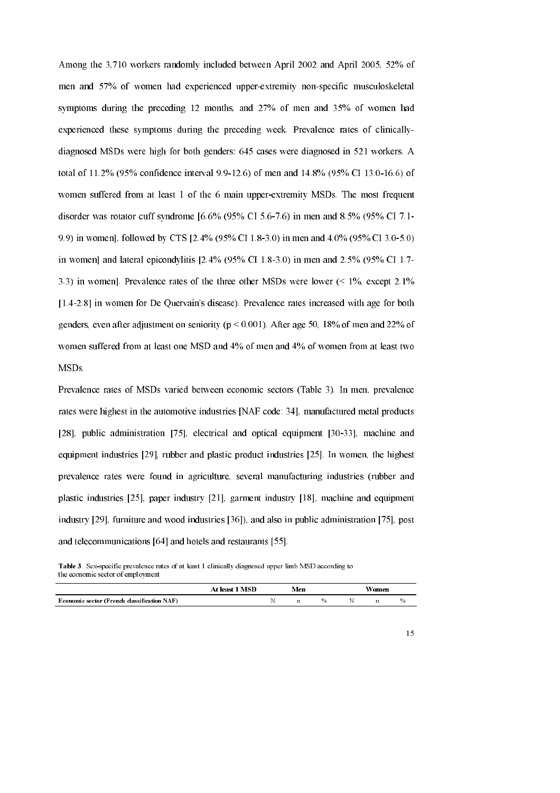Among the 3,710 workers randomly included between April 2002 and April 2005, 52% of men and 57% of women had experienced upper-extremity non-specific musculoskeletal symptoms during the preceding  $12$  months, and  $27\%$  of men and  $35\%$  of women had experienced these symptoms during the preceding week. Prevalence rates of clinicallydiagnosed MSDs were high for both genders: 645 cases were diagnosed in 521 workers. A total of  $11.2\%$  (95% confidence interval 9.9-12.6) of men and 14.8% (95% CI 13.0-16.6) of women suffered from at least 1 of the 6 main upper-extremity MSDs. The most frequent disorder was rotator cuff syndrome  $[6.6\% (95\% \text{ CI } 5.6-7.6)$  in men and 8.5% (95% CI 7.1-9.9) in women], followed by CTS [2.4% (95% CI 1.8-3.0) in men and  $4.0\%$  (95% CI 3.0-5.0) in women] and lateral epicondylitis [2.4% (95% CI 1.8-3.0) in men and 2.5% (95% CI 1.7-3.3) in women]. Prevalence rates of the three other MSDs were lower  $($  < 1%, except 2.1%  $[1.4-2.8]$  in women for De Quervain's disease). Prevalence rates increased with age for both genders, even after adjustment on seniority ( $p < 0.001$ ). After age 50, 18% of men and 22% of women suffered from at least one MSD and 4% of men and 4% of women from at least two MSDs.

Prevalence rates of MSDs varied between economic sectors (Table 3). In men, prevalence rates were highest in the automotive industries [NAF code: 34], manufactured metal products [28], public administration  $[75]$ , electrical and optical equipment  $[30-33]$ , machine and equipment industries  $[29]$ , rubber and plastic product industries  $[25]$ . In women, the highest prevalence rates were found in agriculture, several manufacturing industries (rubber and plastic industries  $[25]$ , paper industry  $[21]$ , garment industry  $[18]$ , machine and equipment industry  $[29]$ , furniture and wood industries  $[36]$ ), and also in public administration  $[75]$ , post and telecommunications  $[64]$  and hotels and restaurants  $[55]$ .

Table 3 Sex-specific prevalence rates of at least 1 clinically diagnosed upper limb MSD according to the economic sector of employment

|                                             | <b>MSD</b><br>ାଜଗଙ | Men              |      | Women |      |
|---------------------------------------------|--------------------|------------------|------|-------|------|
| Economic sector (French classification NAF) |                    | $\mathbf{r}$<br> | $\%$ |       | $\%$ |

<sup>15</sup>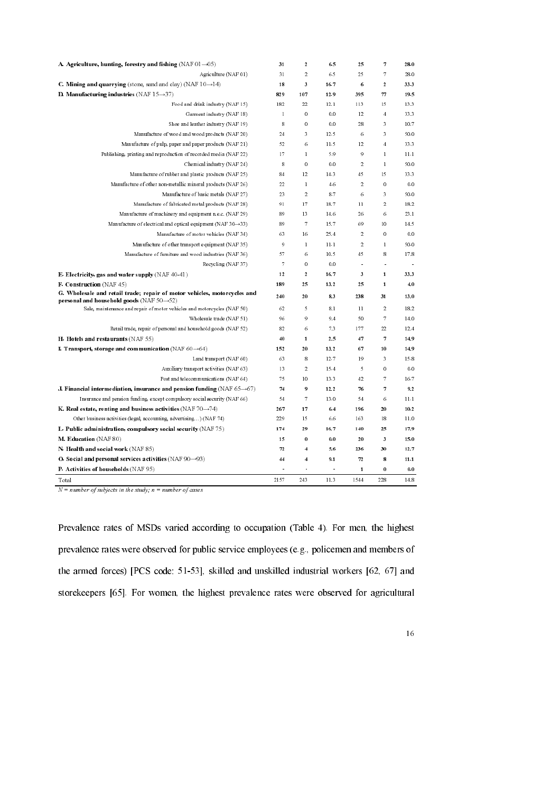| A. Agriculture, hunting, forestry and fishing (NAF 01 $\rightarrow$ 05)                                                            | 31           | $\boldsymbol{2}$        | 6.5  | 25                   | 7                       | 28.0 |
|------------------------------------------------------------------------------------------------------------------------------------|--------------|-------------------------|------|----------------------|-------------------------|------|
| Agriculture (NAF 01)                                                                                                               | 31           | $\,2\,$                 | 6.5  | 25                   | 7                       | 28.0 |
| <b>C. Mining and quarrying</b> (stone, sand and clay) (NAF $10 \rightarrow 14$ )                                                   | 18           | 3                       | 16.7 | 6                    | $\overline{\mathbf{c}}$ | 33.3 |
| D. Manufacturing industries $(NAF 15 \rightarrow 37)$                                                                              | 829          | 107                     | 12.9 | 395                  | 77                      | 19.5 |
| Food and drink industry (NAF 15)                                                                                                   | 182          | 22                      | 12.1 | 113                  | 15                      | 13.3 |
| Garment industry (NAF 18)                                                                                                          | $\mathbf{I}$ | $\,0\,$                 | 0.0  | 12                   | $\overline{4}$          | 33.3 |
| Shoe and leather industry (NAF 19)                                                                                                 | 8            | $\,0\,$                 | 0.0  | 28                   | 3                       | 10.7 |
| Manufacture of wood and wood products (NAF 20)                                                                                     | 24           | 3                       | 12.5 | 6                    | 3                       | 50.0 |
| Manufacture of pulp, paper and paper products (NAF 21)                                                                             | 52           | 6                       | 11.5 | 12                   | $\overline{4}$          | 33.3 |
| Publishing, printing and reproduction of recorded media (NAF 22)                                                                   | 17           | $\mathbf{1}$            | 5.9  | 9                    | $\mathbf{I}$            | 11.1 |
| Chemical industry (NAF 24)                                                                                                         | 8            | $\,0\,$                 | 0.0  | $\overline{2}$       | $\mathbf{I}$            | 50.0 |
| Manufacture of rubber and plastic products (NAF 25)                                                                                | 84           | 12                      | 14.3 | 45                   | 15                      | 33.3 |
| Manufacture of other non-metallic mineral products (NAF 26)                                                                        | 22           | $\mathbf{I}$            | 4.6  | 2                    | 0                       | 0.0  |
| Manufacture of basic metals (NAF 27)                                                                                               | 23           | $\overline{2}$          | 8.7  | 6                    | 3                       | 50.0 |
| Manufacture of fabricated metal products (NAF 28)                                                                                  | 91           | 17                      | 18.7 | $\overline{11}$      | $\overline{2}$          | 18.2 |
| Manufacture of machinery and equipment n.e.c. (NAF 29)                                                                             | 89           | 13                      | 14.6 | 26                   | 6                       | 23.1 |
| Manufacture of electrical and optical equipment (NAF $30 \rightarrow 33$ )                                                         | 89           | 7                       | 15.7 | 69                   | 10                      | 14.5 |
| Manufacture of motor vehicles (NAF 34)                                                                                             | 63           | 16                      | 25.4 | 2                    | 0                       | 0.0  |
| Manufacture of other transport equipment (NAF 35)                                                                                  | 9            | $\mathbf{I}$            | 11.1 | $\overline{2}$       | $\mathbf{I}$            | 50.0 |
| Manufacture of furniture and wood industries (NAF 36)                                                                              | 57           | 6                       | 10.5 | 45                   | 8                       | 17.8 |
| Recycling (NAF37)                                                                                                                  | 7            | $\mathbf 0$             | 0.0  | $\ddot{\phantom{a}}$ | ä,                      | ÷.   |
| <b>E. Electricity, gas and water supply</b> (NAF 40-41)                                                                            | 12           | $\boldsymbol{2}$        | 16.7 | 3                    | $\mathbf{1}$            | 33.3 |
| <b>F. Construction</b> (NAF 45)                                                                                                    | 189          | 25                      | 13.2 | 25                   | 1                       | 4.0  |
| G. Wholesale and retail trade; repair of motor vehicles, motorcycles and<br>personal and household goods (NAF $50\rightarrow 52$ ) | 240          | 20                      | 83   | 238                  | 31                      | 13.0 |
| Sale, maintenance and repair of motor vehicles and motorcycles (NAF 50)                                                            | 62           | 5                       | 8.1  | $\overline{11}$      | $\overline{2}$          | 18.2 |
| Wholesale trade (NAF 51)                                                                                                           | 96           | 9                       | 9.4  | 50                   | 7                       | 14.0 |
| Retail trade, repair of personal and household goods (NAF 52)                                                                      | 82           | 6                       | 7.3  | 177                  | 22                      | 12.4 |
| $H.$ Hotels and restaurants $(NAF 55)$                                                                                             | 40           | 1                       | 2.5  | 47                   | 7                       | 14.9 |
| I. Transport, storage and communication (NAF $60\rightarrow 64$ )                                                                  | 152          | 20                      | 13.2 | 67                   | 10                      | 14.9 |
| Land transport (NAF 60)                                                                                                            | 63           | 8                       | 12.7 | 19                   | 3                       | 15.8 |
| Auxiliary transport activities (NAF 63)                                                                                            | 13           | $\,2\,$                 | 15.4 | 5                    | $\overline{0}$          | 0.0  |
| Post and telecommunications (NAF 64)                                                                                               | 75           | 10                      | 13.3 | 42                   | 7                       | 16.7 |
| J. Financial intermediation, insurance and pension funding (NAF 65 $\rightarrow$ 67)                                               | 74           | 9                       | 12.2 | 76                   | 7                       | 92   |
| Insurance and pension funding, except compulsory social security (NAF 66)                                                          | 54           | 7                       | 13.0 | 54                   | 6                       | 11.1 |
| K. Real estate, renting and business activities (NAF 70 $\rightarrow$ 74)                                                          | 267          | 17                      | 6.4  | 196                  | 20                      | 102  |
| Other business activities (legal, accounting, advertising) (NAF 74)                                                                | 229          | 15                      | 6.6  | 163                  | 18                      | 11.0 |
| L. Public administration, compulsory social security (NAF 75)                                                                      | 174          | 29                      | 167  | 140                  | 25                      | 17.9 |
| M. Education (NAF 80)                                                                                                              | 15           | $\bf{0}$                | 0.0  | 20                   | 3                       | 15.0 |
| N. Health and social work (NAF 85)                                                                                                 | 72           | $\overline{4}$          | 5.6  | 236                  | 30                      | 12.7 |
| O. Social and personal services activities $(NAF 90 \rightarrow 93)$                                                               | 44           | $\overline{\mathbf{4}}$ | 9.1  | $\boldsymbol{n}$     | 8                       | 11.1 |
| P. Activities of households (NAF 95)                                                                                               |              | ä,                      |      | 1                    | 0                       | 0.0  |
| Total                                                                                                                              | 2157         | 243                     | 11.3 | 1544                 | 228                     | 14.8 |

 $N = number of subjects in the study; n = number of cases$ 

Prevalence rates of MSDs varied according to occupation (Table 4). For men, the highest prevalence rates were observed for public service employees (e.g., policemen and members of the armed forces) [PCS code:  $51-53$ ], skilled and unskilled industrial workers  $[62, 67]$  and storekeepers  $[65]$ . For women, the highest prevalence rates were observed for agricultural

<sup>16</sup> <sup>16</sup>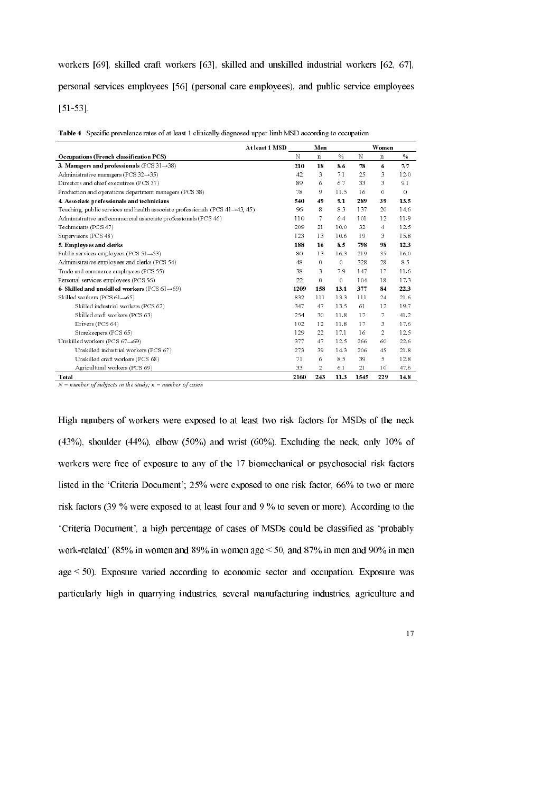workers  $[69]$ , skilled craft workers  $[63]$ , skilled and unskilled industrial workers  $[62, 67]$ , personal services employees [56] (personal care employees), and public service employees  $[51-53]$ .

Table 4 Specific prevalence rates of at least 1 clinically diagnosed upper limb MSD according to occupation

| At least 1 MSD                                                                              |      | Men         |         |      | <b>W</b> omen |      |
|---------------------------------------------------------------------------------------------|------|-------------|---------|------|---------------|------|
| Occupations (French classification PCS)                                                     | N    | $\mathbf n$ | $\%$    | N    | $\mathbf n$   | $\%$ |
| 3. Managers and professionals (PCS $31 \rightarrow 38$ )                                    | 210  | 18          | 8.6     | 78   | 6             | 7.7  |
| Administrative managers (PCS $32\rightarrow 35$ )                                           | 42   | 3           | 71      | 25   | 3             | 12.0 |
| Directors and chief executives (PCS 37)                                                     | 89   | 6           | 6.7     | 33   | 3             | 9.1  |
| Production and operations department managers (PCS 38)                                      | 78   | 9           | 11.5    | 16   | 0             | 0    |
| 4. Associate professionals and technicians                                                  | 540  | 49          | 9.1     | 289  | 39            | 13.5 |
| Teaching, public services and health associate professionals (PCS $41 \rightarrow 43$ , 45) | 96   | 8           | 8.3     | 137  | 20            | 14.6 |
| Administrative and commercial associate professionals (PCS 46)                              | 110  | 7           | 6.4     | 101  | 12            | 11.9 |
| Technicians (PCS 47)                                                                        | 209  | 21          | 10.0    | 32   | 4             | 12.5 |
| Supervisors (PCS 48)                                                                        | 123  | 13          | 10.6    | 19   | 3             | 15.8 |
| 5. Employees and clerks                                                                     | 188  | 16          | 8.5     | 798  | 98            | 12.3 |
| Public services employees (PCS $51 \rightarrow 53$ )                                        | 80   | 13          | 16.3    | 219  | 35            | 16.0 |
| Administrative employees and clerks (PCS 54)                                                | 48   | 0           | $\circ$ | 328  | 28            | 8.5  |
| Trade and commerce employees (PCS 55)                                                       | 38   | 3           | 7.9     | 147  | 17            | 11.6 |
| Personal services employees (PCS 56)                                                        | 22   | 0           | 0       | 104  | 18            | 17.3 |
| 6. Skilled and unskilled workers (PCS $61 \rightarrow 69$ )                                 | 1209 | 158         | 13.1    | 377  | 84            | 22.3 |
| Skilled workers (PCS $61 \rightarrow 65$ )                                                  | 832  | 111         | 13.3    | 111  | 24            | 21.6 |
| Skilled industrial workers (PCS 62)                                                         | 347  | 47          | 13.5    | 61   | 12            | 19.7 |
| Skilled craft workers (PCS 63)                                                              | 254  | 30          | 11.8    | 17   | 7             | 41.2 |
| Drivers (PCS 64)                                                                            | 102  | 12          | 11.8    | 17   | 3             | 17.6 |
| Storekeepers (PCS 65)                                                                       | 129  | 22          | 17.1    | 16   | 2             | 12.5 |
| Unskilled workers (PCS $67\rightarrow 69$ )                                                 | 377  | 47          | 12.5    | 266  | 60            | 22.6 |
| Unskilled industrial workers (PCS 67)                                                       | 273  | 39          | 14.3    | 206  | 45            | 21.8 |
| Unskilled craft workers (PCS 68)                                                            | 71   | 6           | 8.5     | 39   | 5             | 12.8 |
| Agricultural workers (PCS 69)                                                               | 33   | 2           | 6.1     | 21   | 10            | 47.6 |
| Total                                                                                       | 2160 | 243         | 11.3    | 1545 | 229           | 14.8 |

 $N =$  number of subjects in the study,  $n =$  number of cases

High numbers of workers were exposed to at least two risk factors for MSDs of the neck  $(43%)$ , shoulder  $(44%)$ , elbow  $(50%)$  and wrist  $(60%)$ . Excluding the neck, only  $10%$  of workers were free of exposure to any of the 17 biomechanical or psychosocial risk factors listed in the 'Criteria Document';  $25\%$  were exposed to one risk factor,  $66\%$  to two or more risk factors (39 % were exposed to at least four and  $9\%$  to seven or more). According to the 'Criteria Document', a high percentage of cases of MSDs could be classified as 'probably work-related' (85% in women and 89% in women age  $\leq$  50, and 87% in men and 90% in men  $age < 50$ ). Exposure varied according to economic sector and occupation. Exposure was particularly high in quarrying industries, several manufacturing industries, agriculture and

<sup>17</sup>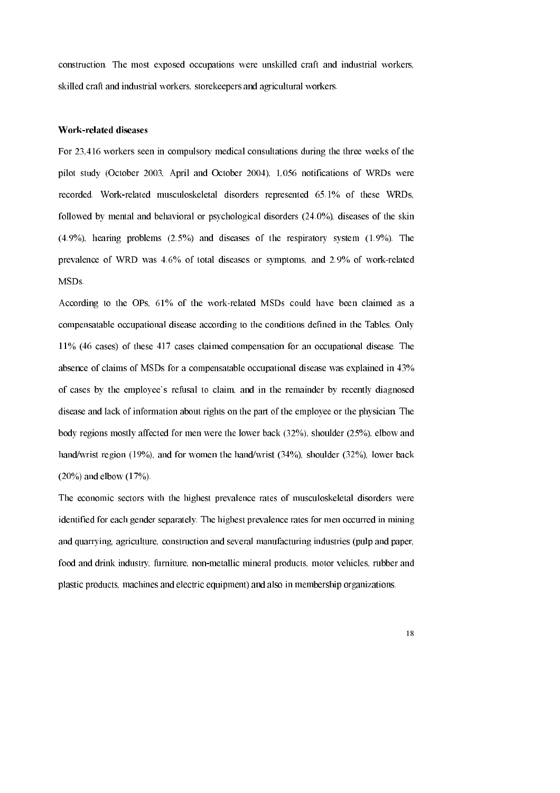construction. The most exposed occupations were unskilled craft and industrial workers, skilled craft and industrial workers, storekeepers and agricultural workers.

### **Work-related diseases**

For 23,416 workers seen in compulsory medical consultations during the three weeks of the pilot study (October 2003, April and October 2004), 1,056 notifications of WRDs were recorded. Work-related musculoskeletal disorders represented 65.1% of these WRDs, followed by mental and behavioral or psychological disorders (24.0%), diseases of the skin  $(4.9\%)$ , hearing problems  $(2.5\%)$  and diseases of the respiratory system  $(1.9\%)$ . The prevalence of WRD was 4.6% of total diseases or symptoms, and 2.9% of work-related MSDs.

According to the OPs, 61% of the work-related MSDs could have been claimed as a compensatable occupational disease according to the conditions defined in the Tables. Only 11% (46 cases) of these 417 cases claimed compensation for an occupational disease. The absence of claims of MSDs for a compensatable occupational disease was explained in 43% of cases by the employee's refusal to claim, and in the remainder by recently diagnosed disease and lack of information about rights on the part of the employee or the physician. The body regions mostly affected for men were the lower back  $(32\%)$ , shoulder  $(25\%)$ , elbow and hand/wrist region (19%), and for women the hand/wrist  $(34\%)$ , shoulder  $(32\%)$ , lower back  $(20\%)$  and elbow  $(17\%)$ .

The economic sectors with the highest prevalence rates of musculoskeletal disorders were identified for each gender separately. The highest prevalence rates for men occurred in mining and quarrying, agriculture, construction and several manufacturing industries (pulp and paper, food and drink industry, furniture, non-metallic mineral products, motor vehicles, rubber and plastic products, machines and electric equipment) and also in membership organizations.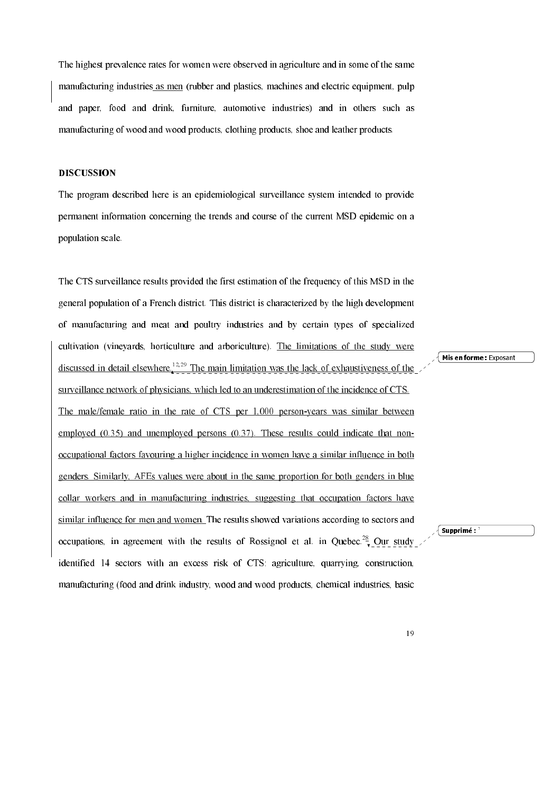The highest prevalence rates for women were observed in agriculture and in some of the same manufacturing industries as men (rubber and plastics, machines and electric equipment, pulp and paper, food and drink, furniture, automotive industries) and in others such as manufacturing of wood and wood products, clothing products, shoe and leather products.

# **DISCUSSION**

The program described here is an epidemiological surveillance system intended to provide permanent information concerning the trends and course of the current MSD epidemic on a population scale.

The CTS surveillance results provided the first estimation of the frequency of this MSD in the general population of a French district. This district is characterized by the high development of manufacturing and meat and poultry industries and by certain types of specialized cultivation (vinevards, horticulture and arboriculture). The limitations of the study were discussed in detail elsewhere.<sup>12,29</sup> The main limitation was the lack of exhaustiveness of the surveillance network of physicians, which led to an underestimation of the incidence of CTS. The male/female ratio in the rate of CTS per 1,000 person-years was similar between employed  $(0.35)$  and unemployed persons  $(0.37)$ . These results could indicate that nonoccupational factors favouring a higher incidence in women have a similar influence in both genders. Similarly, AFEs values were about in the same proportion for both genders in blue collar workers and in manufacturing industries, suggesting that occupation factors have similar influence for men and women. The results showed variations according to sectors and occupations, in agreement with the results of Rossignol et al. in Quebec.<sup>28</sup> Our study identified 14 sectors with an excess risk of CTS; agriculture, quarrying, construction. manufacturing (food and drink industry, wood and wood products, chemical industries, basic

Mis en forme: Exposant

 $\sqrt{\mathsf{Supprim\acute{e}}}$  :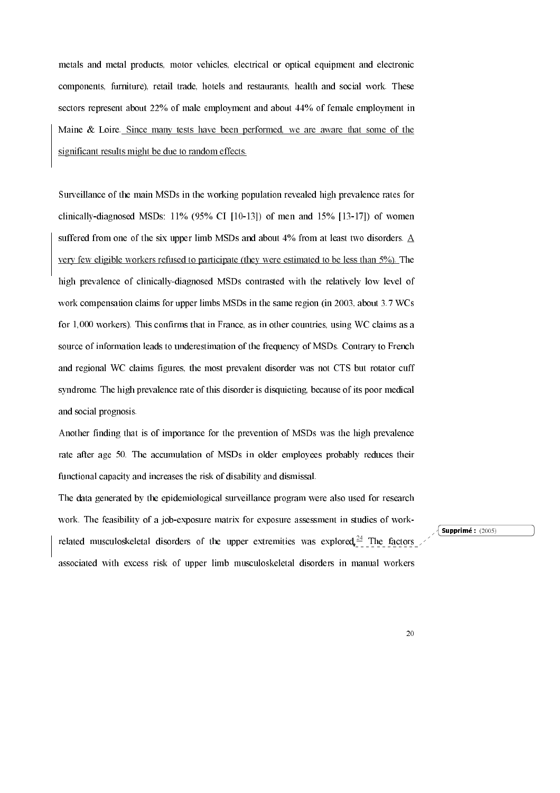metals and metal products, motor vehicles, electrical or optical equipment and electronic components, furniture), retail trade, hotels and restaurants, health and social work. These sectors represent about 22% of male employment and about 44% of female employment in Maine & Loire. Since many tests have been performed, we are aware that some of the significant results might be due to random effects.

Surveillance of the main MSDs in the working population revealed high prevalence rates for clinically-diagnosed MSDs:  $11\%$  (95% CI [10-13]) of men and 15% [13-17]) of women suffered from one of the six upper limb MSDs and about 4% from at least two disorders. A yery few eligible workers refused to participate (they were estimated to be less than 5%). The high prevalence of clinically-diagnosed MSDs contrasted with the relatively low level of work compensation claims for upper limbs MSDs in the same region (in 2003, about 3.7 WCs) for 1,000 workers). This confirms that in France, as in other countries, using WC claims as a source of information leads to underestimation of the frequency of MSDs. Contrary to French and regional WC claims figures, the most prevalent disorder was not CTS but rotator cuff syndrome. The high prevalence rate of this disorder is disquieting, because of its poor medical and social prognosis.

Another finding that is of importance for the prevention of MSDs was the high prevalence rate after age 50. The accumulation of MSDs in older employees probably reduces their functional capacity and increases the risk of disability and dismissal.

The data generated by the epidemiological surveillance program were also used for research work. The feasibility of a job-exposure matrix for exposure assessment in studies of workrelated musculoskeletal disorders of the upper extremities was explored  $24$  The factors associated with excess risk of upper limb musculoskeletal disorders in manual workers

 $\sqrt{\text{Supprimé}: (2005)}$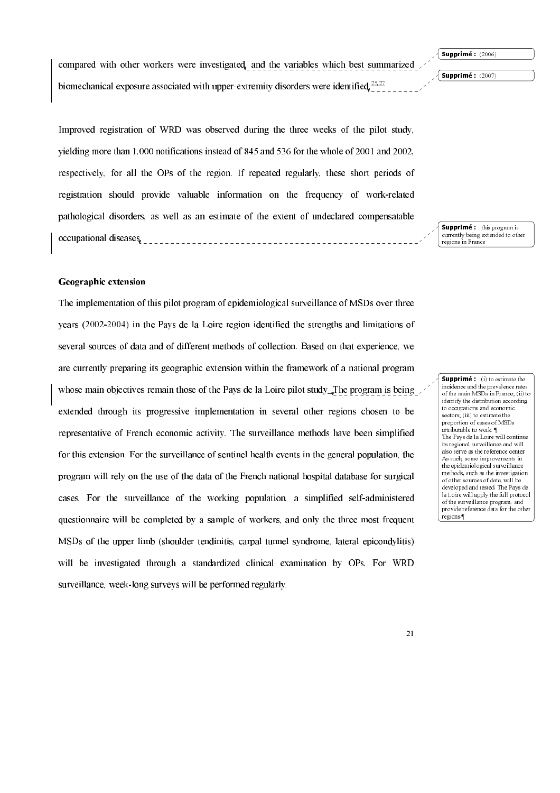Supprimé : (2006)

Supprimé : (2007)

compared with other workers were investigated, and the variables which best summarized biomechanical exposure associated with upper-extremity disorders were identified  $25.27$ 

Improved registration of WRD was observed during the three weeks of the pilot study, yielding more than  $1,000$  notifications instead of 845 and 536 for the whole of 2001 and 2002, respectively, for all the OPs of the region. If repeated regularly, these short periods of registration should provide valuable information on the frequency of work-related pathological disorders, as well as an estimate of the extent of undeclared compensatable occupational diseases. <u> 1999 - Personal Personal II</u>

Supprimé : ; this program is currently being extended to other regions in France

# Geographic extension

The implementation of this pilot program of epidemiological surveillance of MSDs over three years  $(2002-2004)$  in the Pays de la Loire region identified the strengths and limitations of several sources of data and of different methods of collection. Based on that experience, we are currently preparing its geographic extension within the framework of a national program whose main objectives remain those of the Pays de la Loire pilot study. The program is being extended through its progressive implementation in several other regions chosen to be representative of French economic activity. The surveillance methods have been simplified for this extension. For the surveillance of sentinel health events in the general population, the program will rely on the use of the data of the French national hospital database for surgical cases. For the surveillance of the working population, a simplified self-administered questionnaire will be completed by a sample of workers, and only the three most frequent MSDs of the upper limb (shoulder tendinitis, carpal tunnel syndrome, lateral epicondylitis) will be investigated through a standardized clinical examination by OPs. For WRD surveillance, week-long surveys will be performed regularly.

/'

**Supprimé:** : (i) to estimate the incidence and the prevalence rates of the main MSDs in France; (ii) to identify the distribution according to occupations and economic sectors; (iii) to estimate the proportion of cases of MSDs attributable to work. ¶ The Pays de la Loire will continue its regional surveillance and will also serve as the reference center. As such, some improvements in the epidemiological surveillance methods, such as the investigation of other sources of data, will be developed and tested. The Pays de la Loire will apply the full protoco<br>of the surveillance program, and of the surveillance program provide reference data for the other regions.¶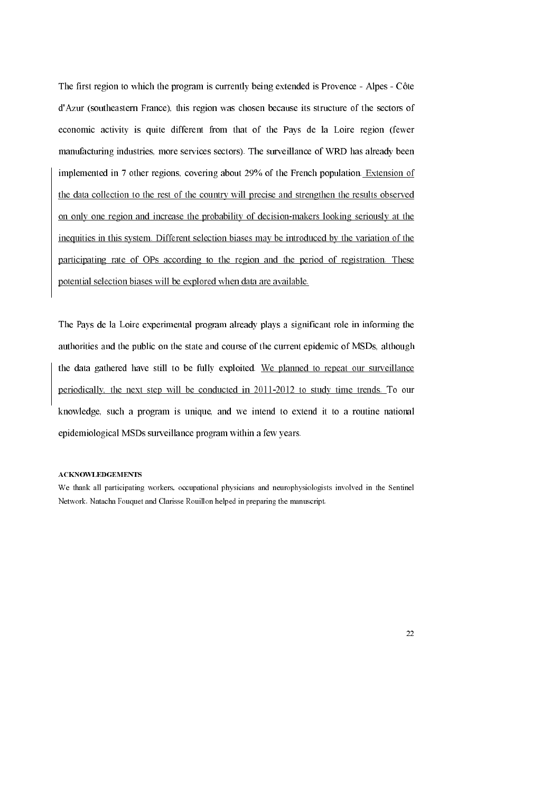The first region to which the program is currently being extended is Provence - Alpes - Côte d'Azur (southeastern France), this region was chosen because its structure of the sectors of economic activity is quite different from that of the Pays de la Loire region (fewer manufacturing industries, more services sectors). The surveillance of WRD has already been implemented in 7 other regions, covering about 29% of the French population. Extension of the data collection to the rest of the country will precise and strengthen the results observed on only one region and increase the probability of decision-makers looking seriously at the inequities in this system. Different selection biases may be introduced by the variation of the participating rate of OPs according to the region and the period of registration. These potential selection biases will be explored when data are available.

The Pays de la Loire experimental program already plays a significant role in informing the authorities and the public on the state and course of the current epidemic of MSDs, although the data gathered have still to be fully exploited. We planned to repeat our surveillance periodically, the next step will be conducted in 2011-2012 to study time trends. To our knowledge, such a program is unique, and we intend to extend it to a routine national epidemiological MSDs surveillance program within a few years.

### **ACKNOWLEDGEMENTS**

We thank all participating workers, occupational physicians and neurophysiologists involved in the Sentinel Network. Natacha Fouquet and Clarisse Rouillon helped in preparing the manuscript.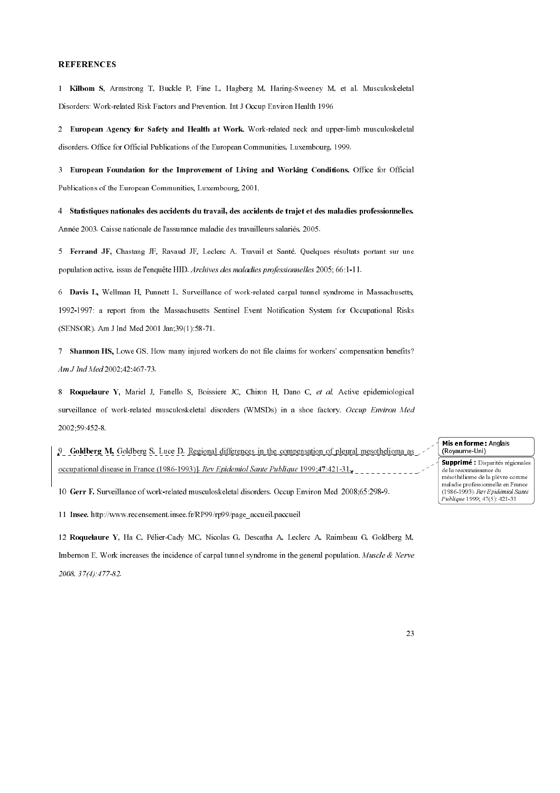#### **REFERENCES**

1 Kilbom S, Armstrong T, Buckle P, Fine L, Hagberg M, Haring-Sweeney M, et al. Musculoskeletal Disorders: Work-related Risk Factors and Prevention. Int J Occup Environ Health 1996

2 European Agency for Safety and Health at Work. Work-related neck and upper-limb musculoskeletal disorders. Office for Official Publications of the European Communities, Luxembourg, 1999.

3 European Foundation for the Improvement of Living and Working Conditions. Office for Official Publications of the European Communities, Luxembourg, 2001.

4 Statistiques nationales des accidents du travail, des accidents de trajet et des maladies professionnelles. Année 2003 Caisse nationale de l'assurance maladie des travailleurs salariés, 2005.

5 Ferrand JF, Chastang JF, Ravaud JF, Leclerc A. Travail et Santé. Quelques résultats portant sur une population active, issus de l'enquête HID Archives des maladies professionnelles 2005; 66:1-11.

6 Davis L, Wellman H, Punnett L. Surveillance of work-related carpal tunnel syndrome in Massachusetts, 1992-1997: a report from the Massachusetts Sentinel Event Notification System for Occupational Risks (SENSOR) Am J Ind Med 2001 Jan, 39(1):58-71.

7 Shannon HS, Lowe GS. How many injured workers do not file claims for workers' compensation benefits? Am J Ind Med 2002, 42 467-73

8 Roquelaure Y, Mariel J, Fanello S, Boissiere JC, Chiron H, Dano C, et al. Active epidemiological surveillance of work-related musculoskeletal disorders (WMSDs) in a shoe factory. Occup Environ Med 2002;59 452 8

9 Goldberg M, Goldberg S, Luce D. Regional differences in the compensation of pleural mesothelioma as occupational disease in France (1986-1993)] Rev Epidemiol Sante Publique 1999;47:421-31,

10 Gerr F. Surveillance of work-related musculoskeletal disorders. Occup Environ Med 2008;65:298-9.

11 Insee. http://www.recensement.insee.fr/RP99/rp99/page\_accueil.paccueil

12 Roquelaure Y, Ha C, Pélier-Cady MC, Nicolas G, Descatha A, Leclerc A, Raimbeau G, Goldberg M. Imbernon E. Work increases the incidence of carpal tunnel syndrome in the general population. Muscle & Nerve 2008, 37(4): 477-82

Mis en forme: Anglais (Royaume-Uni)

Supprimé : Disparités régionales de la reconnaissance du mésothéliome de la plèvre comme maladie professionnelle en France (1986-1993). Rev Epidémiol Santé Publique 1999, 47(5): 421-31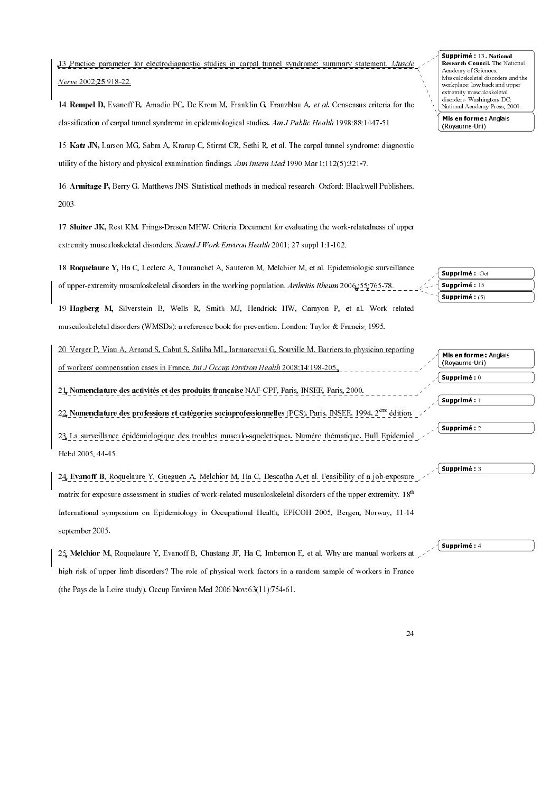13 Practice parameter for electrodiagnostic studies in carpal tunnel syndrome: summary statement. Muscl Nerve 2002:25:918-22.

14 Rempel D, Evanoff B, Amadio PC, De Krom M, Franklin G, Franzblau A, et al. Consensus criteria for the classification of carpal tunnel syndrome in epidemiological studies. Am J Public Health 1998:88:1447-51

15 Katz JN, Larson MG, Sabra A, Krarup C, Stirrat CR, Sethi R, et al. The carpal tunnel syndrome: diagnostic utility of the history and physical examination findings. Ann Intern Med 1990 Mar  $1.112(5)$ :321-7.

16 Armitage P, Berry G, Matthews JNS. Statistical methods in medical research. Oxford: Blackwell Publishers. 2003.

17 Sluiter JK, Rest KM, Frings-Dresen MHW. Criteria Document for evaluating the work-relatedness of upper extremity musculoskeletal disorders Scand J Work Environ Health 2001: 27 suppl 1:1-102

18 Roquelaure Y, Ha C, Leclerc A, Touranchet A, Sauteron M, Melchior M, et al. Epidemiologic surveillance of upper-extremity musculoskeletal disorders in the working population Arthritis Rheum 2006, 55, 765-78.

19 Hagberg M, Silverstein B, Wells R, Smith MJ, Hendrick HW, Carayon P, et al. Work related musculoskeletal disorders (WMSDs): a reference book for prevention. London: Taylor & Francis; 1995.

20 Verger P, Viau A, Arnaud S, Cabut S, Saliba ML, Iarmarcovai G, Souville M. Barriers to physician reporting of workers' compensation cases in France *Int J Occup Environ Health* 2008;14:198-205

21 Nomencla ture des activités et des produits française NAF-CPF, Paris, INSEE, Paris, 2000

22, Nomencla ture des professions et catégories socioprofessionnelles (PCS), Paris, INSEE, 1994, 2<sup>ème</sup> édition

23. La surveillance épidémiologique des troubles musculo-squelettiques. Numéro thématique. Bull Epidemiol Hebd 2005, 44-45.

24 Evanoff B, Roquelaure Y, Gueguen A, Melchior M, Ha C, Descatha A, et al. Feasibility of a job-exposure matrix for exposure assessment in studies of work-related musculoskeletal disorders of the upper extremity. 18<sup>th</sup> International symposium on Epidemiology in Occupational Health, EPICOH 2005, Bergen, Norway, 11-14 september 2005.

25. Melchior M, Roquelaure Y, Evanoff B, Chastang JF, Ha C, Imbernon E, et al. Why are manual workers at high risk of upper limb disorders? The role of physical work factors in a random sample of workers in France (the Pays de la Loire study). Occup Environ Med 2006 Nov, 63(11):754-61.

Supprimé: 13. National Research Council. The National Academy of Sciences. Musculoskeletal disorders and the workplace: low back and upper extremity musculoskeletal disorders. Washington, DC: National Academy Press, 2001.

Mis en forme: Anglais (Royaume-Uni)

Supprimé : Oct Supprimé: 15 Supprimé: (5)

> Supprimé: 1 Supprimé: 2

Mis en forme: Anglais (Royaume-Uni)

Supprimé: 0

 $\big\{$  Supprimé :  $\overline{4}$ 

 $\sqrt{\mathsf{Supprim\'e}:3}$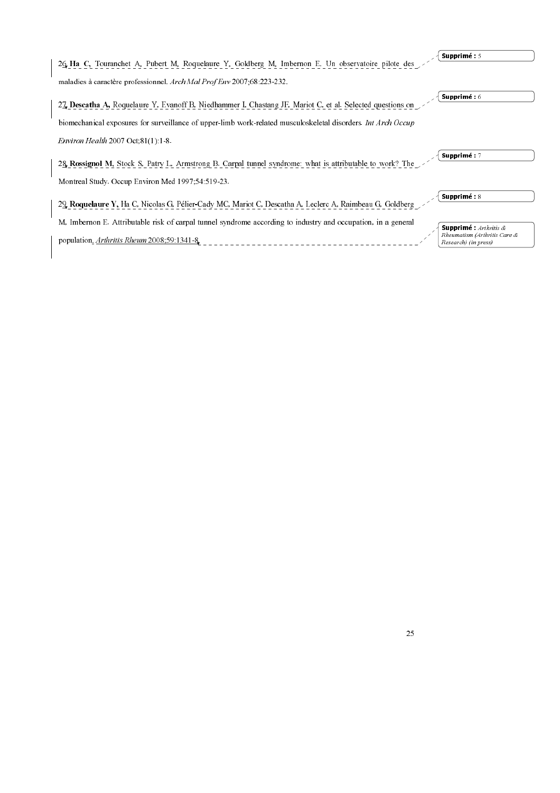|                                                                                                               | Supprimé: 5                                                    |
|---------------------------------------------------------------------------------------------------------------|----------------------------------------------------------------|
| 26 Ha C, Touranchet A, Pubert M, Roquelaure Y, Goldberg M, Imbernon E. Un observatoire pilote des             |                                                                |
| maladies à caractère professionnel Arch Mal Prof Env 2007,68 223 232                                          |                                                                |
| 27. Descatha A, Roquelaure Y, Evanoff B, Niedhammer I, Chastang JF, Mariot C, et al. Selected questions on    | Supprimé: 6                                                    |
| biomechanical exposures for surveillance of upper-limb work-related musculoskeletal disorders Int Arch Occup  |                                                                |
| Environ Health $2007$ Oct, $81(1)$ 1 8                                                                        |                                                                |
| 28. Rossignol M, Stock S, Patry L, Armstrong B. Carpal tunnel syndrome: what is attributable to work? The     | Supprimé: 7                                                    |
| Montreal Study Occup Environ Med 1997,54.519.23                                                               |                                                                |
| 29 Roquelaure Y, Ha C, Nicolas G, Pélier-Cady MC, Mariot C, Descatha A, Leclerc A, Raimbeau G, Goldberg       | Supprimé : 8                                                   |
| M, Imbernon E. Attributable risk of carpal tunnel syndrome according to industry and occupation, in a general | <b>Supprimé:</b> $Arthritis$ &<br>Rheumatism (Arthritis Care & |
| population <i>Arthritis Rheum</i> 2008;59 1341 8                                                              | Research) (in press)                                           |
|                                                                                                               |                                                                |